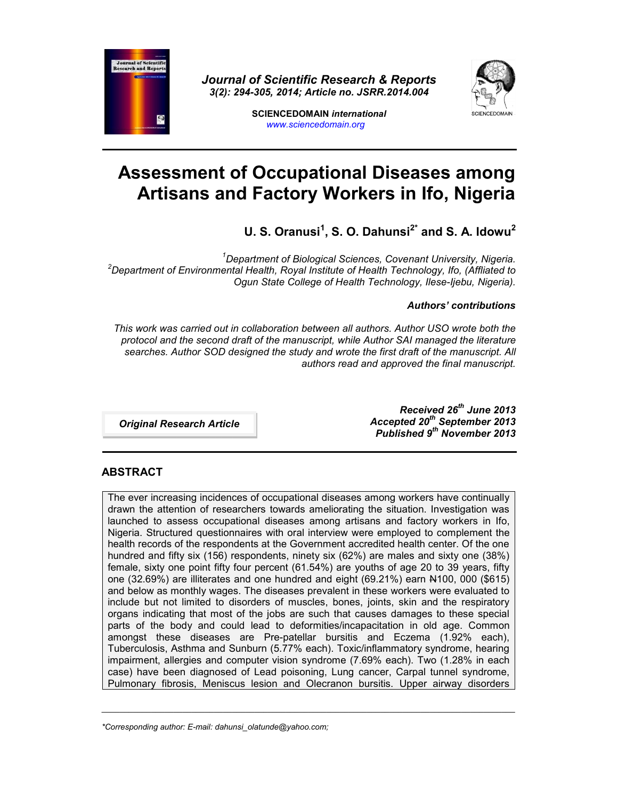

*Journal of Scientific Research & Reports 3(2): 294-305, 2014; Article no. JSRR.2014.004*



**SCIENCEDOMAIN** *international www.sciencedomain.org*

# **Assessment of Occupational Diseases among Artisans and Factory Workers in Ifo, Nigeria**

**U. S. Oranusi<sup>1</sup> , S. O. Dahunsi2\* and S. A. Idowu<sup>2</sup>**

*<sup>1</sup>Department of Biological Sciences, Covenant University, Nigeria. <sup>2</sup>Department of Environmental Health, Royal Institute of Health Technology, Ifo, (Affliated to Ogun State College of Health Technology, Ilese-Ijebu, Nigeria).*

# *Authors' contributions*

*This work was carried out in collaboration between all authors. Author USO wrote both the protocol and the second draft of the manuscript, while Author SAI managed the literature searches. Author SOD designed the study and wrote the first draft of the manuscript. All authors read and approved the final manuscript.*

*Original Research Article*

*Received 26th June 2013 Accepted 20th September 2013 Published 9 th November 2013*

# **ABSTRACT**

The ever increasing incidences of occupational diseases among workers have continually drawn the attention of researchers towards ameliorating the situation. Investigation was launched to assess occupational diseases among artisans and factory workers in Ifo, Nigeria. Structured questionnaires with oral interview were employed to complement the health records of the respondents at the Government accredited health center. Of the one hundred and fifty six (156) respondents, ninety six (62%) are males and sixty one (38%) female, sixty one point fifty four percent (61.54%) are youths of age 20 to 39 years, fifty one (32.69%) are illiterates and one hundred and eight (69.21%) earn N100, 000 (\$615) and below as monthly wages. The diseases prevalent in these workers were evaluated to include but not limited to disorders of muscles, bones, joints, skin and the respiratory organs indicating that most of the jobs are such that causes damages to these special parts of the body and could lead to deformities/incapacitation in old age. Common amongst these diseases are Pre-patellar bursitis and Eczema (1.92% each), Tuberculosis, Asthma and Sunburn (5.77% each). Toxic/inflammatory syndrome, hearing impairment, allergies and computer vision syndrome (7.69% each). Two (1.28% in each case) have been diagnosed of Lead poisoning, Lung cancer, Carpal tunnel syndrome, Pulmonary fibrosis, Meniscus lesion and Olecranon bursitis. Upper airway disorders

\_\_\_\_\_\_\_\_\_\_\_\_\_\_\_\_\_\_\_\_\_\_\_\_\_\_\_\_\_\_\_\_\_\_\_\_\_\_\_\_\_\_\_\_\_\_\_\_\_\_\_\_\_\_\_\_\_\_\_\_\_\_\_\_\_\_\_\_\_\_\_\_\_\_\_\_\_\_\_\_\_\_\_\_\_\_\_\_\_\_\_\_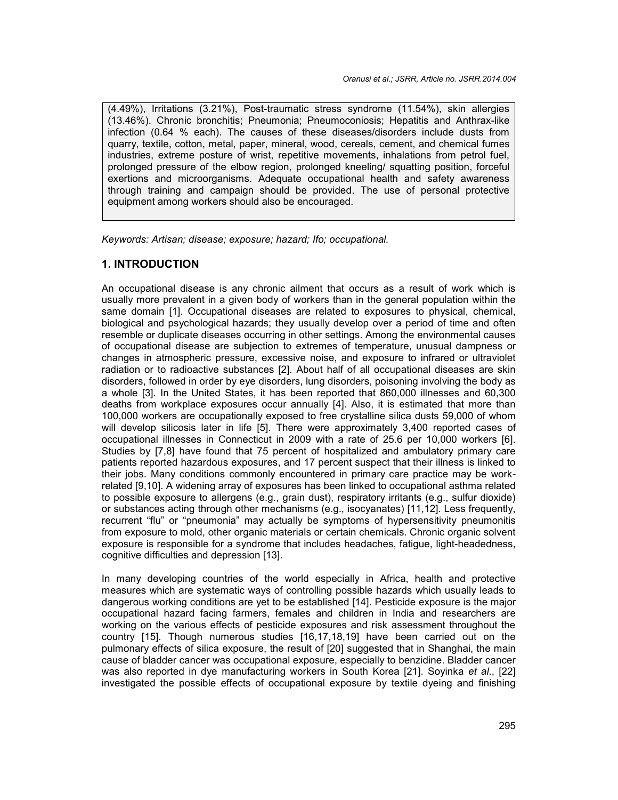(4.49%), Irritations (3.21%), Post-traumatic stress syndrome (11.54%), skin allergies (13.46%). Chronic bronchitis; Pneumonia; Pneumoconiosis; Hepatitis and Anthrax-like infection (0.64 % each). The causes of these diseases/disorders include dusts from quarry, textile, cotton, metal, paper, mineral, wood, cereals, cement, and chemical fumes industries, extreme posture of wrist, repetitive movements, inhalations from petrol fuel, prolonged pressure of the elbow region, prolonged kneeling/ squatting position, forceful exertions and microorganisms. Adequate occupational health and safety awareness through training and campaign should be provided. The use of personal protective equipment among workers should also be encouraged.

*Keywords: Artisan; disease; exposure; hazard; Ifo; occupational.*

# **1. INTRODUCTION**

An occupational disease is any chronic ailment that occurs as a result of work which is usually more prevalent in a given body of workers than in the general population within the same domain [1]. Occupational diseases are related to exposures to physical, chemical, biological and psychological hazards; they usually develop over a period of time and often resemble or duplicate diseases occurring in other settings. Among the environmental causes of occupational disease are subjection to extremes of temperature, unusual dampness or changes in atmospheric pressure, excessive noise, and exposure to infrared or ultraviolet radiation or to radioactive substances [2]. About half of all occupational diseases are skin disorders, followed in order by eye disorders, lung disorders, poisoning involving the body as a whole [3]. In the United States, it has been reported that 860,000 illnesses and 60,300 deaths from workplace exposures occur annually [4]. Also, it is estimated that more than 100,000 workers are occupationally exposed to free crystalline silica dusts 59,000 of whom will develop silicosis later in life [5]. There were approximately 3,400 reported cases of occupational illnesses in Connecticut in 2009 with a rate of 25.6 per 10,000 workers [6]. Studies by [7,8] have found that 75 percent of hospitalized and ambulatory primary care patients reported hazardous exposures, and 17 percent suspect that their illness is linked to their jobs. Many conditions commonly encountered in primary care practice may be workrelated [9,10]. A widening array of exposures has been linked to occupational asthma related to possible exposure to allergens (e.g., grain dust), respiratory irritants (e.g., sulfur dioxide) or substances acting through other mechanisms (e.g., isocyanates) [11,12]. Less frequently, recurrent "flu" or "pneumonia" may actually be symptoms of hypersensitivity pneumonitis from exposure to mold, other organic materials or certain chemicals. Chronic organic solvent exposure is responsible for a syndrome that includes headaches, fatigue, light-headedness, cognitive difficulties and depression [13].

In many developing countries of the world especially in Africa, health and protective measures which are systematic ways of controlling possible hazards which usually leads to dangerous working conditions are yet to be established [14]. Pesticide exposure is the major occupational hazard facing farmers, females and children in India and researchers are working on the various effects of pesticide exposures and risk assessment throughout the country [15]. Though numerous studies [16,17,18,19] have been carried out on the pulmonary effects of silica exposure, the result of [20] suggested that in Shanghai, the main cause of bladder cancer was occupational exposure, especially to benzidine. Bladder cancer was also reported in dye manufacturing workers in South Korea [21]. Soyinka *et al*., [22] investigated the possible effects of occupational exposure by textile dyeing and finishing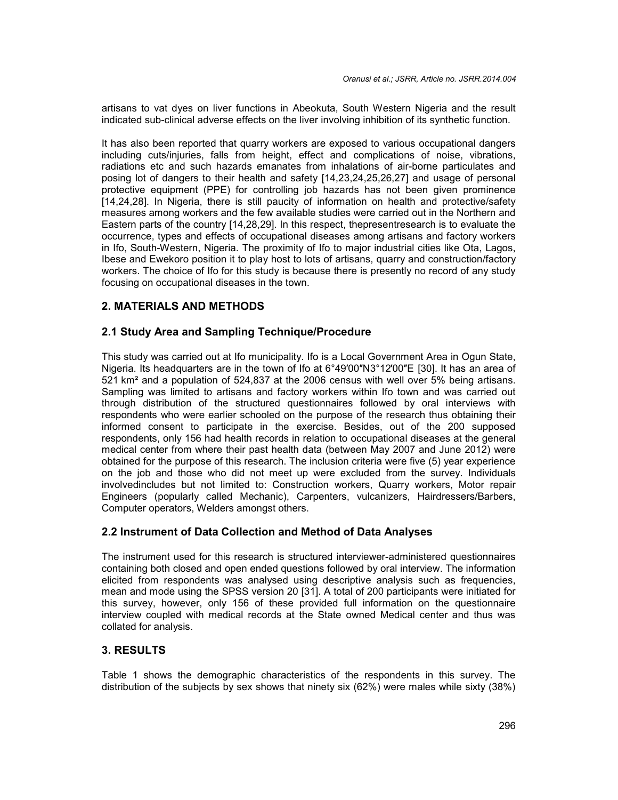artisans to vat dyes on liver functions in Abeokuta, South Western Nigeria and the result indicated sub-clinical adverse effects on the liver involving inhibition of its synthetic function.

It has also been reported that quarry workers are exposed to various occupational dangers including cuts/injuries, falls from height, effect and complications of noise, vibrations, radiations etc and such hazards emanates from inhalations of air-borne particulates and posing lot of dangers to their health and safety [14,23,24,25,26,27] and usage of personal protective equipment (PPE) for controlling job hazards has not been given prominence [14,24,28]. In Nigeria, there is still paucity of information on health and protective/safety measures among workers and the few available studies were carried out in the Northern and Eastern parts of the country [14,28,29]. In this respect, thepresentresearch is to evaluate the occurrence, types and effects of occupational diseases among artisans and factory workers in Ifo, South-Western, Nigeria. The proximity of Ifo to major industrial cities like Ota, Lagos, Ibese and Ewekoro position it to play host to lots of artisans, quarry and construction/factory workers. The choice of Ifo for this study is because there is presently no record of any study focusing on occupational diseases in the town.

# **2. MATERIALS AND METHODS**

## **2.1 Study Area and Sampling Technique/Procedure**

This study was carried out at Ifo municipality. Ifo is a Local Government Area in Ogun State, Nigeria. Its headquarters are in the town of Ifo at 6°49'00"N3°12'00"E [30]. It has an area of 521 km² and a population of 524,837 at the 2006 census with well over 5% being artisans. Sampling was limited to artisans and factory workers within Ifo town and was carried out through distribution of the structured questionnaires followed by oral interviews with respondents who were earlier schooled on the purpose of the research thus obtaining their informed consent to participate in the exercise. Besides, out of the 200 supposed respondents, only 156 had health records in relation to occupational diseases at the general medical center from where their past health data (between May 2007 and June 2012) were obtained for the purpose of this research. The inclusion criteria were five (5) year experience on the job and those who did not meet up were excluded from the survey. Individuals involvedincludes but not limited to: Construction workers, Quarry workers, Motor repair Engineers (popularly called Mechanic), Carpenters, vulcanizers, Hairdressers/Barbers, Computer operators, Welders amongst others.

# **2.2 Instrument of Data Collection and Method of Data Analyses**

The instrument used for this research is structured interviewer-administered questionnaires containing both closed and open ended questions followed by oral interview. The information elicited from respondents was analysed using descriptive analysis such as frequencies, mean and mode using the SPSS version 20 [31]. A total of 200 participants were initiated for this survey, however, only 156 of these provided full information on the questionnaire interview coupled with medical records at the State owned Medical center and thus was collated for analysis.

## **3. RESULTS**

Table 1 shows the demographic characteristics of the respondents in this survey. The distribution of the subjects by sex shows that ninety six (62%) were males while sixty (38%)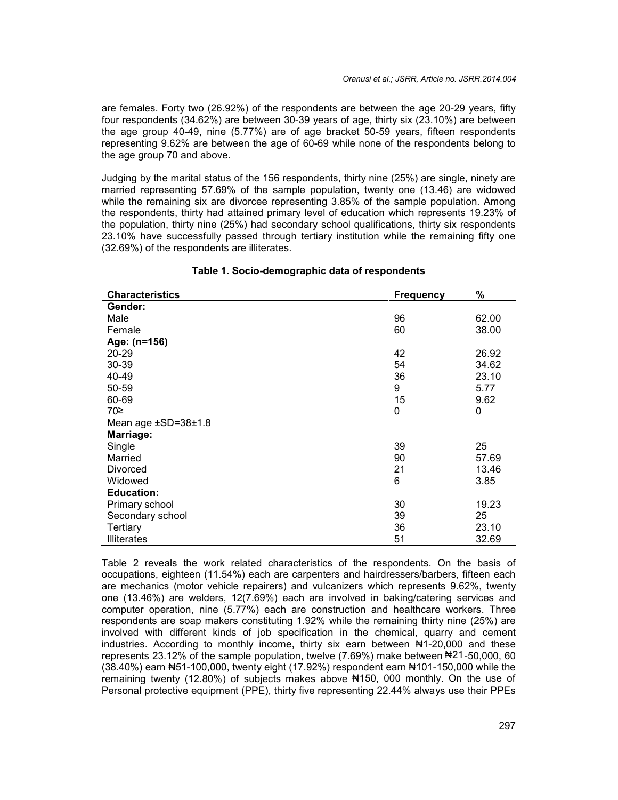are females. Forty two (26.92%) of the respondents are between the age 20-29 years, fifty four respondents (34.62%) are between 30-39 years of age, thirty six (23.10%) are between the age group 40-49, nine (5.77%) are of age bracket 50-59 years, fifteen respondents representing 9.62% are between the age of 60-69 while none of the respondents belong to the age group 70 and above.

Judging by the marital status of the 156 respondents, thirty nine (25%) are single, ninety are married representing 57.69% of the sample population, twenty one (13.46) are widowed while the remaining six are divorcee representing 3.85% of the sample population. Among the respondents, thirty had attained primary level of education which represents 19.23% of the population, thirty nine (25%) had secondary school qualifications, thirty six respondents 23.10% have successfully passed through tertiary institution while the remaining fifty one (32.69%) of the respondents are illiterates.

| <b>Characteristics</b> | <b>Frequency</b> | %     |
|------------------------|------------------|-------|
| Gender:                |                  |       |
| Male                   | 96               | 62.00 |
| Female                 | 60               | 38.00 |
| Age: (n=156)           |                  |       |
| 20-29                  | 42               | 26.92 |
| 30-39                  | 54               | 34.62 |
| 40-49                  | 36               | 23.10 |
| 50-59                  | 9                | 5.77  |
| 60-69                  | 15               | 9.62  |
| 70≥                    | 0                | 0     |
| Mean age ±SD=38±1.8    |                  |       |
| Marriage:              |                  |       |
| Single                 | 39               | 25    |
| Married                | 90               | 57.69 |
| <b>Divorced</b>        | 21               | 13.46 |
| Widowed                | 6                | 3.85  |
| <b>Education:</b>      |                  |       |
| Primary school         | 30               | 19.23 |
| Secondary school       | 39               | 25    |
| <b>Tertiary</b>        | 36               | 23.10 |
| <b>Illiterates</b>     | 51               | 32.69 |

#### **Table 1. Socio-demographic data of respondents**

Table 2 reveals the work related characteristics of the respondents. On the basis of occupations, eighteen (11.54%) each are carpenters and hairdressers/barbers, fifteen each are mechanics (motor vehicle repairers) and vulcanizers which represents 9.62%, twenty one (13.46%) are welders, 12(7.69%) each are involved in baking/catering services and computer operation, nine (5.77%) each are construction and healthcare workers. Three respondents are soap makers constituting 1.92% while the remaining thirty nine (25%) are involved with different kinds of job specification in the chemical, quarry and cement industries. According to monthly income, thirty six earn between ₦1-20,000 and these represents 23.12% of the sample population, twelve (7.69%) make between ₦21-50,000, 60 (38.40%) earn ₦51-100,000, twenty eight (17.92%) respondent earn ₦101-150,000 while the remaining twenty (12.80%) of subjects makes above ₦150, 000 monthly. On the use of Personal protective equipment (PPE), thirty five representing 22.44% always use their PPEs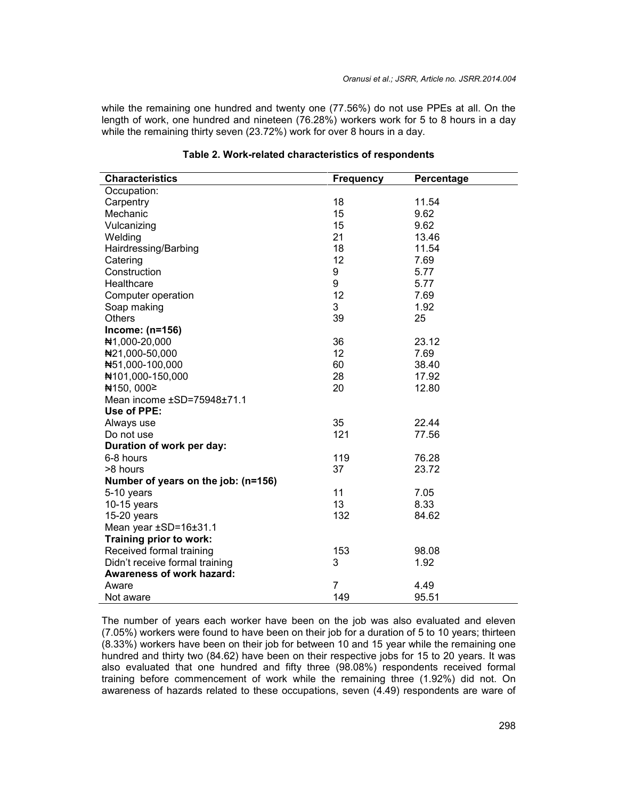while the remaining one hundred and twenty one (77.56%) do not use PPEs at all. On the length of work, one hundred and nineteen (76.28%) workers work for 5 to 8 hours in a day while the remaining thirty seven (23.72%) work for over 8 hours in a day.

| <b>Characteristics</b>              | <b>Frequency</b> | Percentage |
|-------------------------------------|------------------|------------|
| Occupation:                         |                  |            |
| Carpentry                           | 18               | 11.54      |
| Mechanic                            | 15               | 9.62       |
| Vulcanizing                         | 15               | 9.62       |
| Welding                             | 21               | 13.46      |
| Hairdressing/Barbing                | 18               | 11.54      |
| Catering                            | 12               | 7.69       |
| Construction                        | 9                | 5.77       |
| Healthcare                          | 9                | 5.77       |
| Computer operation                  | 12               | 7.69       |
| Soap making                         | 3                | 1.92       |
| Others                              | 39               | 25         |
| Income: (n=156)                     |                  |            |
| ₦1,000-20,000                       | 36               | 23.12      |
| #21,000-50,000                      | 12               | 7.69       |
| N51,000-100,000                     | 60               | 38.40      |
| ₦101,000-150,000                    | 28               | 17.92      |
| ₦150,000≥                           | 20               | 12.80      |
| Mean income ±SD=75948±71.1          |                  |            |
| Use of PPE:                         |                  |            |
| Always use                          | 35               | 22.44      |
| Do not use                          | 121              | 77.56      |
| Duration of work per day:           |                  |            |
| 6-8 hours                           | 119              | 76.28      |
| >8 hours                            | 37               | 23.72      |
| Number of years on the job: (n=156) |                  |            |
| 5-10 years                          | 11               | 7.05       |
| $10-15$ years                       | 13               | 8.33       |
| $15-20$ years                       | 132              | 84.62      |
| Mean year ±SD=16±31.1               |                  |            |
| Training prior to work:             |                  |            |
| Received formal training            | 153              | 98.08      |
| Didn't receive formal training      | 3                | 1.92       |
| <b>Awareness of work hazard:</b>    |                  |            |
| Aware                               | $\overline{7}$   | 4.49       |
| Not aware                           | 149              | 95.51      |

#### **Table 2. Work-related characteristics of respondents**

The number of years each worker have been on the job was also evaluated and eleven (7.05%) workers were found to have been on their job for a duration of 5 to 10 years; thirteen (8.33%) workers have been on their job for between 10 and 15 year while the remaining one hundred and thirty two (84.62) have been on their respective jobs for 15 to 20 years. It was also evaluated that one hundred and fifty three (98.08%) respondents received formal training before commencement of work while the remaining three (1.92%) did not. On awareness of hazards related to these occupations, seven (4.49) respondents are ware of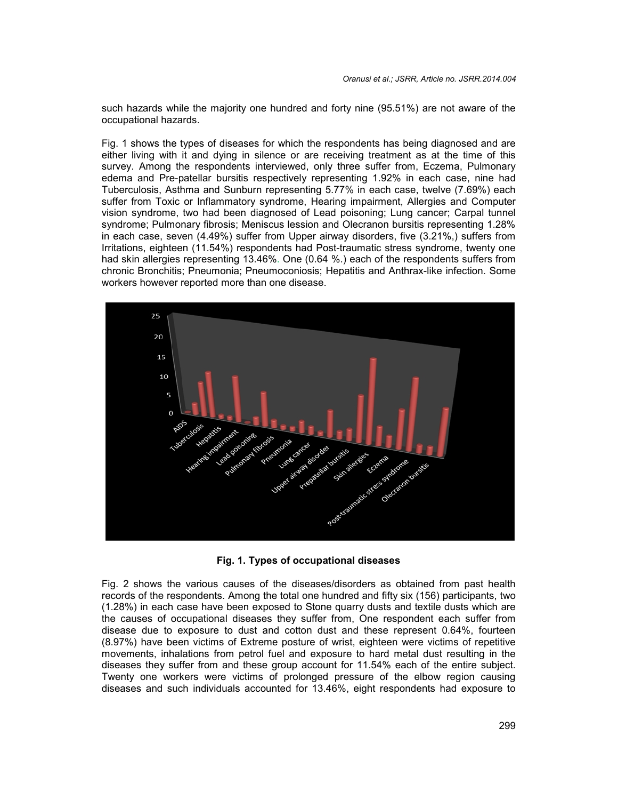such hazards while the majority one hundred and forty nine (95.51%) are not aware of the occupational hazards.

Fig. 1 shows the types of diseases for which the respondents has being diagnosed and are either living with it and dying in silence or are receiving treatment as at the time of this survey. Among the respondents interviewed, only three suffer from, Eczema, Pulmonary edema and Pre-patellar bursitis respectively representing 1.92% in each case, nine had Tuberculosis, Asthma and Sunburn representing 5.77% in each case, twelve (7.69%) each suffer from Toxic or Inflammatory syndrome, Hearing impairment, Allergies and Computer vision syndrome, two had been diagnosed of Lead poisoning; Lung cancer; Carpal tunnel syndrome; Pulmonary fibrosis; Meniscus lession and Olecranon bursitis representing 1.28% in each case, seven (4.49%) suffer from Upper airway disorders, five (3.21%,) suffers from Irritations, eighteen (11.54%) respondents had Post-traumatic stress syndrome, twenty one had skin allergies representing 13.46%. One (0.64 %.) each of the respondents suffers from chronic Bronchitis; Pneumonia; Pneumoconiosis; Hepatitis and Anthrax-like infection. Some workers however reported more than one disease.



**Fig. 1. Types of occupational diseases**

Fig. 2 shows the various causes of the diseases/disorders as obtained from past health records of the respondents. Among the total one hundred and fifty six (156) participants, two (1.28%) in each case have been exposed to Stone quarry dusts and textile dusts which are the causes of occupational diseases they suffer from, One respondent each suffer from disease due to exposure to dust and cotton dust and these represent 0.64%, fourteen (8.97%) have been victims of Extreme posture of wrist, eighteen were victims of repetitive movements, inhalations from petrol fuel and exposure to hard metal dust resulting in the diseases they suffer from and these group account for 11.54% each of the entire subject. Twenty one workers were victims of prolonged pressure of the elbow region causing diseases and such individuals accounted for 13.46%, eight respondents had exposure to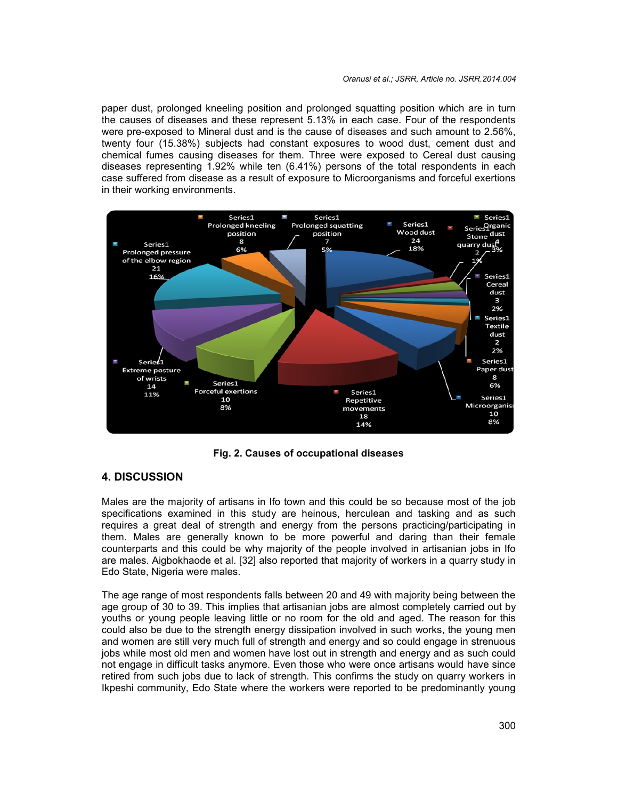paper dust, prolonged kneeling position and prolonged squatting position which are in turn the causes of diseases and these represent 5.13% in each case. Four of the respondents were pre-exposed to Mineral dust and is the cause of diseases and such amount to 2.56%, twenty four (15.38%) subjects had constant exposures to wood dust, cement dust and chemical fumes causing diseases for them. Three were exposed to Cereal dust causing diseases representing 1.92% while ten (6.41%) persons of the total respondents in each case suffered from disease as a result of exposure to Microorganisms and forceful exertions in their working environments.



**Fig. 2. Causes of occupational diseases**

# **4. DISCUSSION**

Males are the majority of artisans in Ifo town and this could be so because most of the job specifications examined in this study are heinous, herculean and tasking and as such requires a great deal of strength and energy from the persons practicing/participating in them. Males are generally known to be more powerful and daring than their female counterparts and this could be why majority of the people involved in artisanian jobs in Ifo are males. Aigbokhaode et al. [32] also reported that majority of workers in a quarry study in Edo State, Nigeria were males.

The age range of most respondents falls between 20 and 49 with majority being between the age group of 30 to 39. This implies that artisanian jobs are almost completely carried out by youths or young people leaving little or no room for the old and aged. The reason for this could also be due to the strength energy dissipation involved in such works, the young men and women are still very much full of strength and energy and so could engage in strenuous jobs while most old men and women have lost out in strength and energy and as such could not engage in difficult tasks anymore. Even those who were once artisans would have since retired from such jobs due to lack of strength. This confirms the study on quarry workers in Ikpeshi community, Edo State where the workers were reported to be predominantly young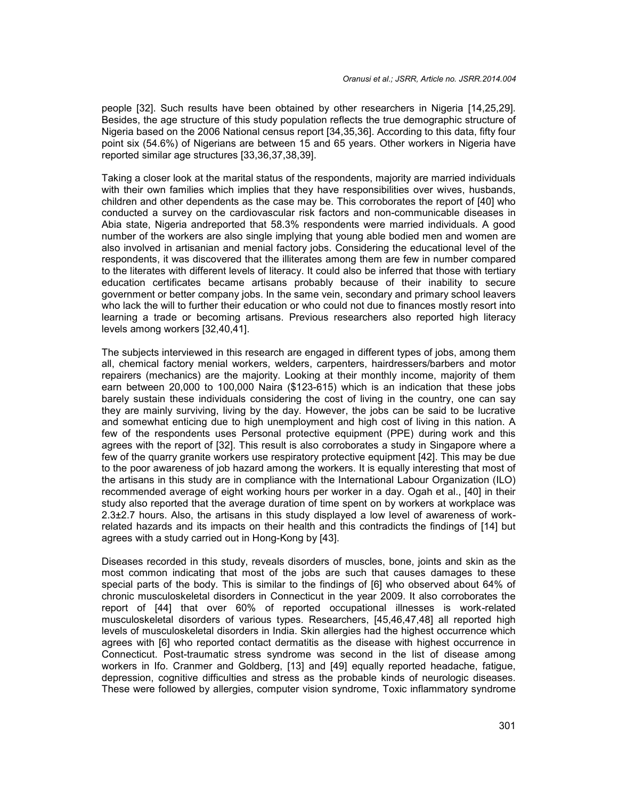people [32]. Such results have been obtained by other researchers in Nigeria [14,25,29]. Besides, the age structure of this study population reflects the true demographic structure of Nigeria based on the 2006 National census report [34,35,36]. According to this data, fifty four point six (54.6%) of Nigerians are between 15 and 65 years. Other workers in Nigeria have reported similar age structures [33,36,37,38,39].

Taking a closer look at the marital status of the respondents, majority are married individuals with their own families which implies that they have responsibilities over wives, husbands, children and other dependents as the case may be. This corroborates the report of [40] who conducted a survey on the cardiovascular risk factors and non-communicable diseases in Abia state, Nigeria andreported that 58.3% respondents were married individuals. A good number of the workers are also single implying that young able bodied men and women are also involved in artisanian and menial factory jobs. Considering the educational level of the respondents, it was discovered that the illiterates among them are few in number compared to the literates with different levels of literacy. It could also be inferred that those with tertiary education certificates became artisans probably because of their inability to secure government or better company jobs. In the same vein, secondary and primary school leavers who lack the will to further their education or who could not due to finances mostly resort into learning a trade or becoming artisans. Previous researchers also reported high literacy levels among workers [32,40,41].

The subjects interviewed in this research are engaged in different types of jobs, among them all, chemical factory menial workers, welders, carpenters, hairdressers/barbers and motor repairers (mechanics) are the majority. Looking at their monthly income, majority of them earn between 20,000 to 100,000 Naira (\$123-615) which is an indication that these jobs barely sustain these individuals considering the cost of living in the country, one can say they are mainly surviving, living by the day. However, the jobs can be said to be lucrative and somewhat enticing due to high unemployment and high cost of living in this nation. A few of the respondents uses Personal protective equipment (PPE) during work and this agrees with the report of [32]. This result is also corroborates a study in Singapore where a few of the quarry granite workers use respiratory protective equipment [42]. This may be due to the poor awareness of job hazard among the workers. It is equally interesting that most of the artisans in this study are in compliance with the International Labour Organization (ILO) recommended average of eight working hours per worker in a day. Ogah et al., [40] in their study also reported that the average duration of time spent on by workers at workplace was 2.3±2.7 hours. Also, the artisans in this study displayed a low level of awareness of workrelated hazards and its impacts on their health and this contradicts the findings of [14] but agrees with a study carried out in Hong-Kong by [43].

Diseases recorded in this study, reveals disorders of muscles, bone, joints and skin as the most common indicating that most of the jobs are such that causes damages to these special parts of the body. This is similar to the findings of [6] who observed about 64% of chronic musculoskeletal disorders in Connecticut in the year 2009. It also corroborates the report of [44] that over 60% of reported occupational illnesses is work-related musculoskeletal disorders of various types. Researchers, [45,46,47,48] all reported high levels of musculoskeletal disorders in India. Skin allergies had the highest occurrence which agrees with [6] who reported contact dermatitis as the disease with highest occurrence in Connecticut. Post-traumatic stress syndrome was second in the list of disease among workers in Ifo. Cranmer and Goldberg, [13] and [49] equally reported headache, fatigue, depression, cognitive difficulties and stress as the probable kinds of neurologic diseases. These were followed by allergies, computer vision syndrome, Toxic inflammatory syndrome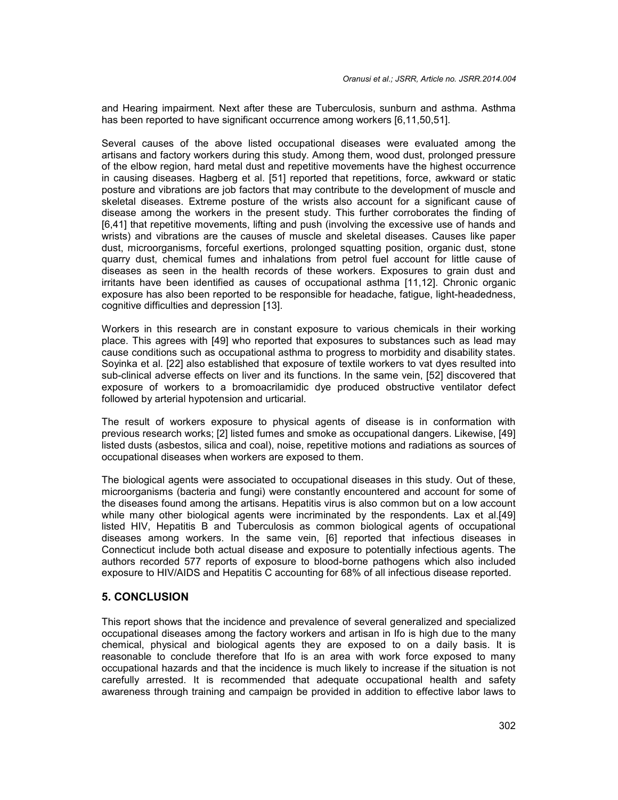and Hearing impairment. Next after these are Tuberculosis, sunburn and asthma. Asthma has been reported to have significant occurrence among workers [6,11,50,51].

Several causes of the above listed occupational diseases were evaluated among the artisans and factory workers during this study. Among them, wood dust, prolonged pressure of the elbow region, hard metal dust and repetitive movements have the highest occurrence in causing diseases. Hagberg et al. [51] reported that repetitions, force, awkward or static posture and vibrations are job factors that may contribute to the development of muscle and skeletal diseases. Extreme posture of the wrists also account for a significant cause of disease among the workers in the present study. This further corroborates the finding of [6,41] that repetitive movements, lifting and push (involving the excessive use of hands and wrists) and vibrations are the causes of muscle and skeletal diseases. Causes like paper dust, microorganisms, forceful exertions, prolonged squatting position, organic dust, stone quarry dust, chemical fumes and inhalations from petrol fuel account for little cause of diseases as seen in the health records of these workers. Exposures to grain dust and irritants have been identified as causes of occupational asthma [11,12]. Chronic organic exposure has also been reported to be responsible for headache, fatigue, light-headedness, cognitive difficulties and depression [13].

Workers in this research are in constant exposure to various chemicals in their working place. This agrees with [49] who reported that exposures to substances such as lead may cause conditions such as occupational asthma to progress to morbidity and disability states. Soyinka et al. [22] also established that exposure of textile workers to vat dyes resulted into sub-clinical adverse effects on liver and its functions. In the same vein, [52] discovered that exposure of workers to a bromoacrilamidic dye produced obstructive ventilator defect followed by arterial hypotension and urticarial.

The result of workers exposure to physical agents of disease is in conformation with previous research works; [2] listed fumes and smoke as occupational dangers. Likewise, [49] listed dusts (asbestos, silica and coal), noise, repetitive motions and radiations as sources of occupational diseases when workers are exposed to them.

The biological agents were associated to occupational diseases in this study. Out of these, microorganisms (bacteria and fungi) were constantly encountered and account for some of the diseases found among the artisans. Hepatitis virus is also common but on a low account while many other biological agents were incriminated by the respondents. Lax et al.[49] listed HIV, Hepatitis B and Tuberculosis as common biological agents of occupational diseases among workers. In the same vein, [6] reported that infectious diseases in Connecticut include both actual disease and exposure to potentially infectious agents. The authors recorded 577 reports of exposure to blood-borne pathogens which also included exposure to HIV/AIDS and Hepatitis C accounting for 68% of all infectious disease reported.

# **5. CONCLUSION**

This report shows that the incidence and prevalence of several generalized and specialized occupational diseases among the factory workers and artisan in Ifo is high due to the many chemical, physical and biological agents they are exposed to on a daily basis. It is reasonable to conclude therefore that Ifo is an area with work force exposed to many occupational hazards and that the incidence is much likely to increase if the situation is not carefully arrested. It is recommended that adequate occupational health and safety awareness through training and campaign be provided in addition to effective labor laws to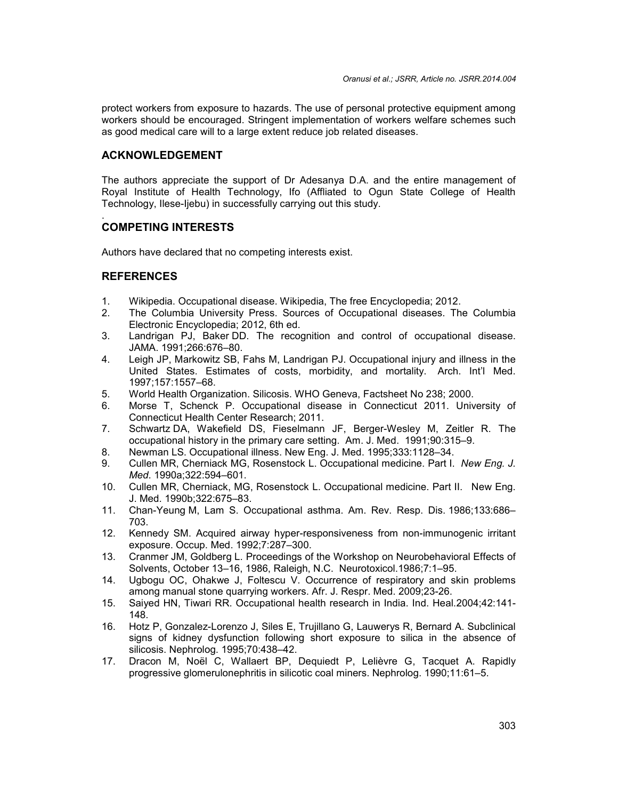protect workers from exposure to hazards. The use of personal protective equipment among workers should be encouraged. Stringent implementation of workers welfare schemes such as good medical care will to a large extent reduce job related diseases.

## **ACKNOWLEDGEMENT**

The authors appreciate the support of Dr Adesanya D.A. and the entire management of Royal Institute of Health Technology, Ifo (Affliated to Ogun State College of Health Technology, Ilese-Ijebu) in successfully carrying out this study.

#### .**COMPETING INTERESTS**

Authors have declared that no competing interests exist.

## **REFERENCES**

- 1. Wikipedia. Occupational disease. Wikipedia, The free Encyclopedia; 2012.
- 2. The Columbia University Press. Sources of Occupational diseases. The Columbia Electronic Encyclopedia; 2012, 6th ed.
- 3. Landrigan PJ, Baker DD. The recognition and control of occupational disease. JAMA. 1991;266:676–80.
- 4. Leigh JP, Markowitz SB, Fahs M, Landrigan PJ. Occupational injury and illness in the United States. Estimates of costs, morbidity, and mortality. Arch. Int'l Med. 1997;157:1557–68.
- 5. World Health Organization. Silicosis. WHO Geneva, Factsheet No 238; 2000.
- 6. Morse T, Schenck P. Occupational disease in Connecticut 2011. University of Connecticut Health Center Research; 2011.
- 7. Schwartz DA, Wakefield DS, Fieselmann JF, Berger-Wesley M, Zeitler R. The occupational history in the primary care setting. Am. J. Med. 1991;90:315–9.
- 8. Newman LS. Occupational illness. New Eng. J. Med. 1995;333:1128–34.
- 9. Cullen MR, Cherniack MG, Rosenstock L. Occupational medicine. Part I. *New Eng. J. Med*. 1990a;322:594–601.
- 10. Cullen MR, Cherniack, MG, Rosenstock L. Occupational medicine. Part II. New Eng. J. Med. 1990b;322:675–83.
- 11. Chan-Yeung M, Lam S. Occupational asthma. Am. Rev. Resp. Dis. 1986;133:686– 703.
- 12. Kennedy SM. Acquired airway hyper-responsiveness from non-immunogenic irritant exposure. Occup. Med. 1992;7:287–300.
- 13. Cranmer JM, Goldberg L. Proceedings of the Workshop on Neurobehavioral Effects of Solvents, October 13–16, 1986, Raleigh, N.C. Neurotoxicol.1986;7:1–95.
- 14. Ugbogu OC, Ohakwe J, Foltescu V. Occurrence of respiratory and skin problems among manual stone quarrying workers. Afr. J. Respr. Med. 2009;23-26.
- 15. Saiyed HN, Tiwari RR. Occupational health research in India. Ind. Heal.2004;42:141- 148.
- 16. Hotz P, Gonzalez-Lorenzo J, Siles E, Trujillano G, Lauwerys R, Bernard A. Subclinical signs of kidney dysfunction following short exposure to silica in the absence of silicosis. Nephrolog. 1995;70:438–42.
- 17. Dracon M, Noël C, Wallaert BP, Dequiedt P, Lelièvre G, Tacquet A. Rapidly progressive glomerulonephritis in silicotic coal miners. Nephrolog. 1990;11:61–5.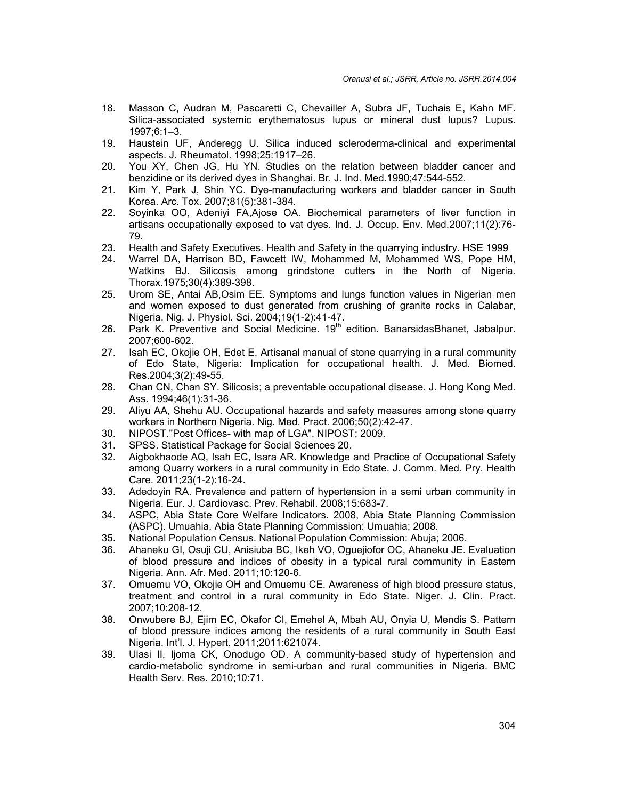- 18. Masson C, Audran M, Pascaretti C, Chevailler A, Subra JF, Tuchais E, Kahn MF. Silica-associated systemic erythematosus lupus or mineral dust lupus? Lupus. 1997;6:1–3.
- 19. Haustein UF, Anderegg U. Silica induced scleroderma-clinical and experimental aspects. J. Rheumatol. 1998;25:1917–26.
- 20. You XY, Chen JG, Hu YN. Studies on the relation between bladder cancer and benzidine or its derived dyes in Shanghai. Br. J. Ind. Med.1990;47:544-552.
- 21. Kim Y, Park J, Shin YC. Dye-manufacturing workers and bladder cancer in South Korea. Arc. Tox. 2007;81(5):381-384.
- 22. Soyinka OO, Adeniyi FA,Ajose OA. Biochemical parameters of liver function in artisans occupationally exposed to vat dyes. Ind. J. Occup. Env. Med.2007;11(2):76- 79.
- 23. Health and Safety Executives. Health and Safety in the quarrying industry. HSE 1999
- 24. Warrel DA, Harrison BD, Fawcett IW, Mohammed M, Mohammed WS, Pope HM, Watkins BJ. Silicosis among grindstone cutters in the North of Nigeria. Thorax.1975;30(4):389-398.
- 25. Urom SE, Antai AB,Osim EE. Symptoms and lungs function values in Nigerian men and women exposed to dust generated from crushing of granite rocks in Calabar, Nigeria. Nig. J. Physiol. Sci. 2004;19(1-2):41-47.
- 26. Park K. Preventive and Social Medicine.  $19<sup>th</sup>$  edition. BanarsidasBhanet, Jabalpur. 2007;600-602.
- 27. Isah EC, Okojie OH, Edet E. Artisanal manual of stone quarrying in a rural community of Edo State, Nigeria: Implication for occupational health. J. Med. Biomed. Res.2004;3(2):49-55.
- 28. Chan CN, Chan SY. Silicosis; a preventable occupational disease. J. Hong Kong Med. Ass. 1994;46(1):31-36.
- 29. Aliyu AA, Shehu AU. Occupational hazards and safety measures among stone quarry workers in Northern Nigeria. Nig. Med. Pract. 2006;50(2):42-47.
- 30. NIPOST."Post Offices- with map of LGA". NIPOST; 2009.
- 31. SPSS. Statistical Package for Social Sciences 20.
- 32. Aigbokhaode AQ, Isah EC, Isara AR. Knowledge and Practice of Occupational Safety among Quarry workers in a rural community in Edo State. J. Comm. Med. Pry. Health Care. 2011;23(1-2):16-24.
- 33. Adedoyin RA. Prevalence and pattern of hypertension in a semi urban community in Nigeria. Eur. J. Cardiovasc. Prev. Rehabil. 2008;15:683-7.
- 34. ASPC, Abia State Core Welfare Indicators. 2008, Abia State Planning Commission (ASPC). Umuahia. Abia State Planning Commission: Umuahia; 2008.
- 35. National Population Census. National Population Commission: Abuja; 2006.
- 36. Ahaneku GI, Osuji CU, Anisiuba BC, Ikeh VO, Oguejiofor OC, Ahaneku JE. Evaluation of blood pressure and indices of obesity in a typical rural community in Eastern Nigeria. Ann. Afr. Med. 2011;10:120-6.
- 37. Omuemu VO, Okojie OH and Omuemu CE. Awareness of high blood pressure status, treatment and control in a rural community in Edo State. Niger. J. Clin. Pract. 2007;10:208-12.
- 38. Onwubere BJ, Ejim EC, Okafor CI, Emehel A, Mbah AU, Onyia U, Mendis S. Pattern of blood pressure indices among the residents of a rural community in South East Nigeria. Int'l. J. Hypert. 2011;2011:621074.
- 39. Ulasi II, Ijoma CK, Onodugo OD. A community-based study of hypertension and cardio-metabolic syndrome in semi-urban and rural communities in Nigeria. BMC Health Serv. Res. 2010;10:71.